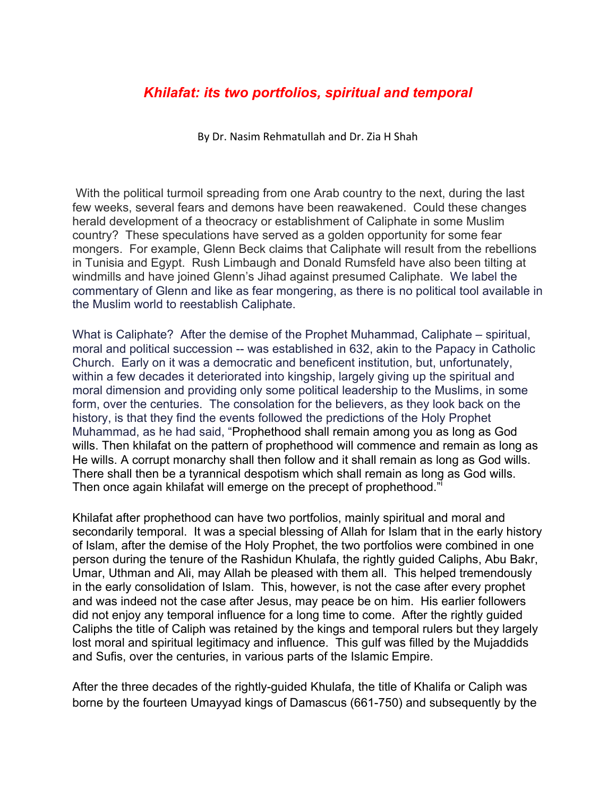## *Khilafat: its two portfolios, spiritual and temporal*

By Dr. Nasim Rehmatullah and Dr. Zia H Shah

With the political turmoil spreading from one Arab country to the next, during the last few weeks, several fears and demons have been reawakened. Could these changes herald development of a theocracy or establishment of Caliphate in some Muslim country? These speculations have served as a golden opportunity for some fear mongers. For example, Glenn Beck claims that Caliphate will result from the rebellions in Tunisia and Egypt. Rush Limbaugh and Donald Rumsfeld have also been tilting at windmills and have joined Glenn's Jihad against presumed Caliphate. We label the commentary of Glenn and like as fear mongering, as there is no political tool available in the Muslim world to reestablish Caliphate.

What is Caliphate? After the demise of the Prophet Muhammad, Caliphate – spiritual, moral and political succession -- was established in 632, akin to the Papacy in Catholic Church. Early on it was a democratic and beneficent institution, but, unfortunately, within a few decades it deteriorated into kingship, largely giving up the spiritual and moral dimension and providing only some political leadership to the Muslims, in some form, over the centuries. The consolation for the believers, as they look back on the history, is that they find the events followed the predictions of the Holy Prophet Muhammad, as he had said, "Prophethood shall remain among you as long as God wills. Then khilafat on the pattern of prophethood will commence and remain as long as He wills. A corrupt monarchy shall then follow and it shall remain as long as God wills. There shall then be a tyrannical despotism which shall remain as long as God wills. Then once again khilafat will emerge on the precept of prophethood."

Khilafat after prophethood can have two portfolios, mainly spiritual and moral and secondarily temporal. It was a special blessing of Allah for Islam that in the early history of Islam, after the demise of the Holy Prophet, the two portfolios were combined in one person during the tenure of the Rashidun Khulafa, the rightly guided Caliphs, Abu Bakr, Umar, Uthman and Ali, may Allah be pleased with them all. This helped tremendously in the early consolidation of Islam. This, however, is not the case after every prophet and was indeed not the case after Jesus, may peace be on him. His earlier followers did not enjoy any temporal influence for a long time to come. After the rightly guided Caliphs the title of Caliph was retained by the kings and temporal rulers but they largely lost moral and spiritual legitimacy and influence. This gulf was filled by the Mujaddids and Sufis, over the centuries, in various parts of the Islamic Empire.

After the three decades of the rightly-guided Khulafa, the title of Khalifa or Caliph was borne by the fourteen Umayyad kings of Damascus (661-750) and subsequently by the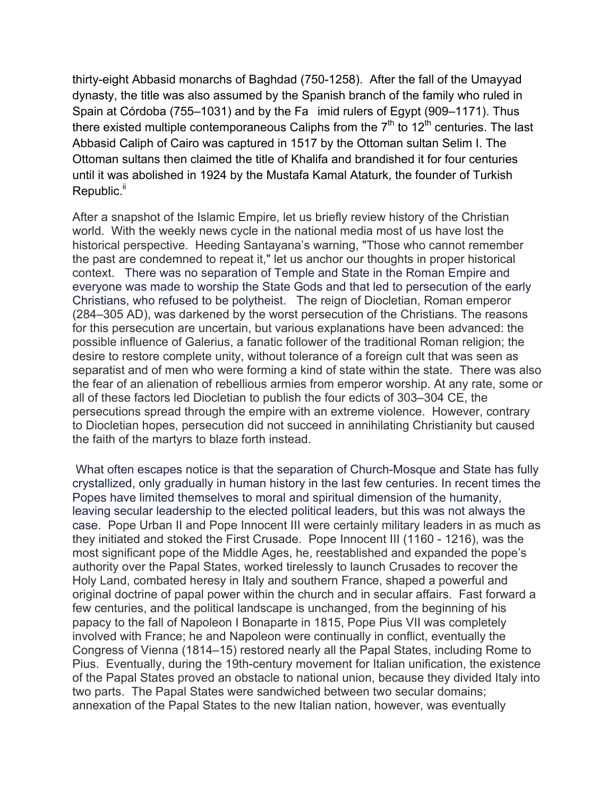thirty-eight Abbasid monarchs of Baghdad (750-1258). After the fall of the Umayyad dynasty, the title was also assumed by the Spanish branch of the family who ruled in Spain at Córdoba (755–1031) and by the Fa imid rulers of Egypt (909–1171). Thus there existed multiple contemporaneous Caliphs from the  $7<sup>th</sup>$  to 12<sup>th</sup> centuries. The last Abbasid Caliph of Cairo was captured in 1517 by the Ottoman sultan Selim I. The Ottoman sultans then claimed the title of Khalifa and brandished it for four centuries until it was abolished in 1924 by the Mustafa Kamal Ataturk, the founder of Turkish Republic.<sup>ii</sup>

After a snapshot of the Islamic Empire, let us briefly review history of the Christian world. With the weekly news cycle in the national media most of us have lost the historical perspective. Heeding Santayana's warning, "Those who cannot remember the past are condemned to repeat it," let us anchor our thoughts in proper historical context. There was no separation of Temple and State in the Roman Empire and everyone was made to worship the State Gods and that led to persecution of the early Christians, who refused to be polytheist. The reign of Diocletian, Roman emperor (284–305 AD), was darkened by the worst persecution of the Christians. The reasons for this persecution are uncertain, but various explanations have been advanced: the possible influence of Galerius, a fanatic follower of the traditional Roman religion; the desire to restore complete unity, without tolerance of a foreign cult that was seen as separatist and of men who were forming a kind of state within the state. There was also the fear of an alienation of rebellious armies from emperor worship. At any rate, some or all of these factors led Diocletian to publish the four edicts of 303–304 CE, the persecutions spread through the empire with an extreme violence. However, contrary to Diocletian hopes, persecution did not succeed in annihilating Christianity but caused the faith of the martyrs to blaze forth instead.

What often escapes notice is that the separation of Church-Mosque and State has fully crystallized, only gradually in human history in the last few centuries. In recent times the Popes have limited themselves to moral and spiritual dimension of the humanity, leaving secular leadership to the elected political leaders, but this was not always the case. Pope Urban II and Pope Innocent III were certainly military leaders in as much as they initiated and stoked the First Crusade. Pope Innocent III (1160 - 1216), was the most significant pope of the Middle Ages, he, reestablished and expanded the pope's authority over the Papal States, worked tirelessly to launch Crusades to recover the Holy Land, combated heresy in Italy and southern France, shaped a powerful and original doctrine of papal power within the church and in secular affairs. Fast forward a few centuries, and the political landscape is unchanged, from the beginning of his papacy to the fall of Napoleon I Bonaparte in 1815, Pope Pius VII was completely involved with France; he and Napoleon were continually in conflict, eventually the Congress of Vienna (1814–15) restored nearly all the Papal States, including Rome to Pius. Eventually, during the 19th-century movement for Italian unification, the existence of the Papal States proved an obstacle to national union, because they divided Italy into two parts. The Papal States were sandwiched between two secular domains; annexation of the Papal States to the new Italian nation, however, was eventually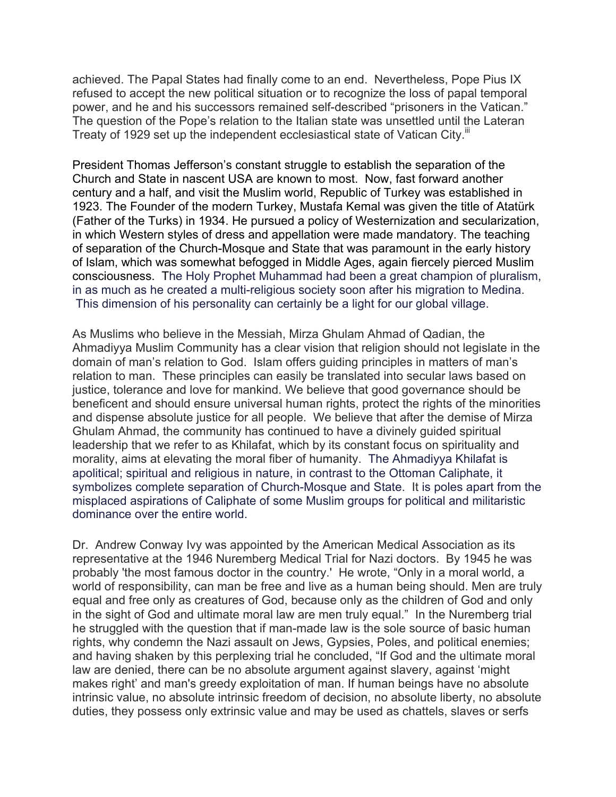achieved. The Papal States had finally come to an end. Nevertheless, Pope Pius IX refused to accept the new political situation or to recognize the loss of papal temporal power, and he and his successors remained self-described "prisoners in the Vatican." The question of the Pope's relation to the Italian state was unsettled until the Lateran Treaty of 1929 set up the independent ecclesiastical state of Vatican City.<sup>III</sup>

President Thomas Jefferson's constant struggle to establish the separation of the Church and State in nascent USA are known to most. Now, fast forward another century and a half, and visit the Muslim world, Republic of Turkey was established in 1923. The Founder of the modern Turkey, Mustafa Kemal was given the title of Atatürk (Father of the Turks) in 1934. He pursued a policy of Westernization and secularization, in which Western styles of dress and appellation were made mandatory. The teaching of separation of the Church-Mosque and State that was paramount in the early history of Islam, which was somewhat befogged in Middle Ages, again fiercely pierced Muslim consciousness. The Holy Prophet Muhammad had been a great champion of pluralism, in as much as he created a multi-religious society soon after his migration to Medina. This dimension of his personality can certainly be a light for our global village.

As Muslims who believe in the Messiah, Mirza Ghulam Ahmad of Qadian, the Ahmadiyya Muslim Community has a clear vision that religion should not legislate in the domain of man's relation to God. Islam offers guiding principles in matters of man's relation to man. These principles can easily be translated into secular laws based on justice, tolerance and love for mankind. We believe that good governance should be beneficent and should ensure universal human rights, protect the rights of the minorities and dispense absolute justice for all people. We believe that after the demise of Mirza Ghulam Ahmad, the community has continued to have a divinely guided spiritual leadership that we refer to as Khilafat, which by its constant focus on spirituality and morality, aims at elevating the moral fiber of humanity. The Ahmadiyya Khilafat is apolitical; spiritual and religious in nature, in contrast to the Ottoman Caliphate, it symbolizes complete separation of Church-Mosque and State. It is poles apart from the misplaced aspirations of Caliphate of some Muslim groups for political and militaristic dominance over the entire world.

Dr. Andrew Conway Ivy was appointed by the American Medical Association as its representative at the 1946 Nuremberg Medical Trial for Nazi doctors. By 1945 he was probably 'the most famous doctor in the country.' He wrote, "Only in a moral world, a world of responsibility, can man be free and live as a human being should. Men are truly equal and free only as creatures of God, because only as the children of God and only in the sight of God and ultimate moral law are men truly equal." In the Nuremberg trial he struggled with the question that if man-made law is the sole source of basic human rights, why condemn the Nazi assault on Jews, Gypsies, Poles, and political enemies; and having shaken by this perplexing trial he concluded, "If God and the ultimate moral law are denied, there can be no absolute argument against slavery, against 'might makes right' and man's greedy exploitation of man. If human beings have no absolute intrinsic value, no absolute intrinsic freedom of decision, no absolute liberty, no absolute duties, they possess only extrinsic value and may be used as chattels, slaves or serfs